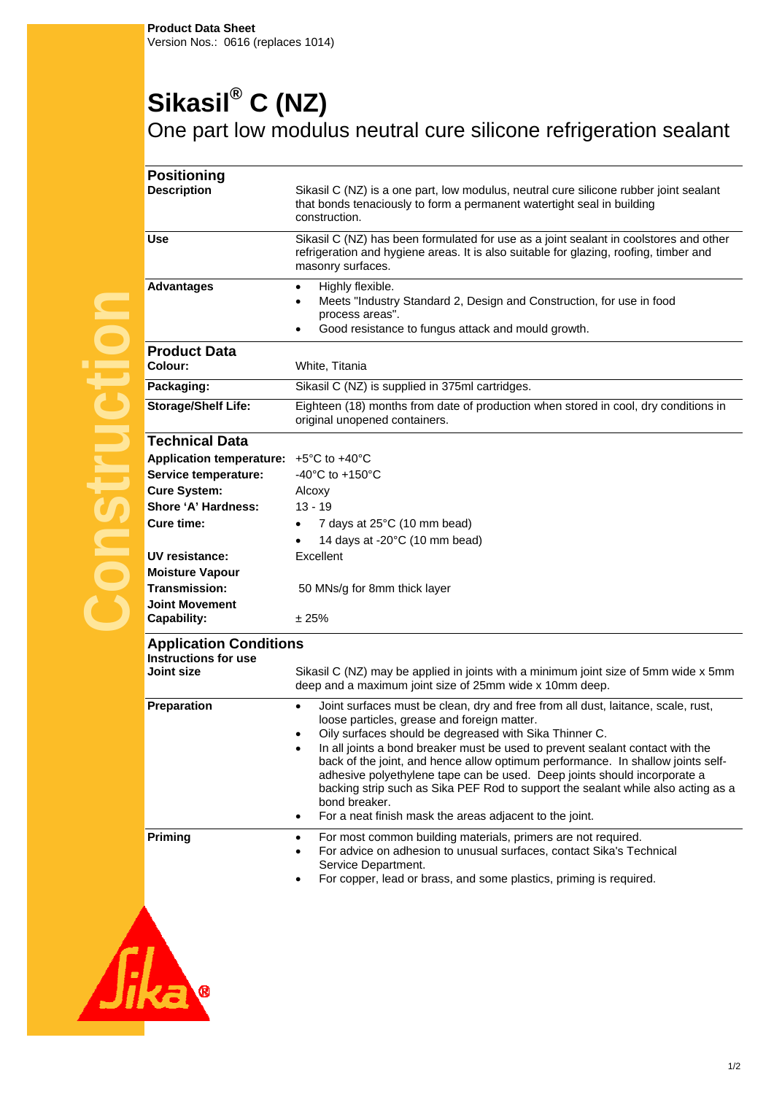## **Sikasil® C (NZ)**

One part low modulus neutral cure silicone refrigeration sealant

| <b>Positioning</b>                                           |                                                                                                                                                                                                                                                                                                                                                                                                                                                                                                                                                                                                                             |
|--------------------------------------------------------------|-----------------------------------------------------------------------------------------------------------------------------------------------------------------------------------------------------------------------------------------------------------------------------------------------------------------------------------------------------------------------------------------------------------------------------------------------------------------------------------------------------------------------------------------------------------------------------------------------------------------------------|
| <b>Description</b>                                           | Sikasil C (NZ) is a one part, low modulus, neutral cure silicone rubber joint sealant<br>that bonds tenaciously to form a permanent watertight seal in building<br>construction.                                                                                                                                                                                                                                                                                                                                                                                                                                            |
| <b>Use</b>                                                   | Sikasil C (NZ) has been formulated for use as a joint sealant in coolstores and other<br>refrigeration and hygiene areas. It is also suitable for glazing, roofing, timber and<br>masonry surfaces.                                                                                                                                                                                                                                                                                                                                                                                                                         |
| <b>Advantages</b>                                            | Highly flexible.<br>٠<br>Meets "Industry Standard 2, Design and Construction, for use in food<br>$\bullet$<br>process areas".<br>Good resistance to fungus attack and mould growth.                                                                                                                                                                                                                                                                                                                                                                                                                                         |
| <b>Product Data</b>                                          |                                                                                                                                                                                                                                                                                                                                                                                                                                                                                                                                                                                                                             |
| <b>Colour:</b>                                               | White, Titania                                                                                                                                                                                                                                                                                                                                                                                                                                                                                                                                                                                                              |
| Packaging:                                                   | Sikasil C (NZ) is supplied in 375ml cartridges.                                                                                                                                                                                                                                                                                                                                                                                                                                                                                                                                                                             |
| <b>Storage/Shelf Life:</b>                                   | Eighteen (18) months from date of production when stored in cool, dry conditions in<br>original unopened containers.                                                                                                                                                                                                                                                                                                                                                                                                                                                                                                        |
| <b>Technical Data</b>                                        |                                                                                                                                                                                                                                                                                                                                                                                                                                                                                                                                                                                                                             |
| <b>Application temperature:</b>                              | $+5^{\circ}$ C to $+40^{\circ}$ C                                                                                                                                                                                                                                                                                                                                                                                                                                                                                                                                                                                           |
| Service temperature:                                         | -40 $^{\circ}$ C to +150 $^{\circ}$ C                                                                                                                                                                                                                                                                                                                                                                                                                                                                                                                                                                                       |
| <b>Cure System:</b>                                          | Alcoxy                                                                                                                                                                                                                                                                                                                                                                                                                                                                                                                                                                                                                      |
| Shore 'A' Hardness:                                          | $13 - 19$                                                                                                                                                                                                                                                                                                                                                                                                                                                                                                                                                                                                                   |
| <b>Cure time:</b>                                            | 7 days at 25°C (10 mm bead)                                                                                                                                                                                                                                                                                                                                                                                                                                                                                                                                                                                                 |
|                                                              | 14 days at -20°C (10 mm bead)                                                                                                                                                                                                                                                                                                                                                                                                                                                                                                                                                                                               |
| UV resistance:                                               | Excellent                                                                                                                                                                                                                                                                                                                                                                                                                                                                                                                                                                                                                   |
| <b>Moisture Vapour</b>                                       |                                                                                                                                                                                                                                                                                                                                                                                                                                                                                                                                                                                                                             |
| Transmission:                                                | 50 MNs/g for 8mm thick layer                                                                                                                                                                                                                                                                                                                                                                                                                                                                                                                                                                                                |
| <b>Joint Movement</b><br>Capability:                         | ± 25%                                                                                                                                                                                                                                                                                                                                                                                                                                                                                                                                                                                                                       |
| <b>Application Conditions</b><br><b>Instructions for use</b> |                                                                                                                                                                                                                                                                                                                                                                                                                                                                                                                                                                                                                             |
| <b>Joint size</b>                                            | Sikasil C (NZ) may be applied in joints with a minimum joint size of 5mm wide x 5mm<br>deep and a maximum joint size of 25mm wide x 10mm deep.                                                                                                                                                                                                                                                                                                                                                                                                                                                                              |
| Preparation                                                  | Joint surfaces must be clean, dry and free from all dust, laitance, scale, rust,<br>$\bullet$<br>loose particles, grease and foreign matter.<br>Oily surfaces should be degreased with Sika Thinner C.<br>In all joints a bond breaker must be used to prevent sealant contact with the<br>back of the joint, and hence allow optimum performance. In shallow joints self-<br>adhesive polyethylene tape can be used. Deep joints should incorporate a<br>backing strip such as Sika PEF Rod to support the sealant while also acting as a<br>bond breaker.<br>For a neat finish mask the areas adjacent to the joint.<br>٠ |
| Priming                                                      | For most common building materials, primers are not required.<br>$\bullet$<br>For advice on adhesion to unusual surfaces, contact Sika's Technical<br>Service Department.<br>For copper, lead or brass, and some plastics, priming is required.                                                                                                                                                                                                                                                                                                                                                                             |